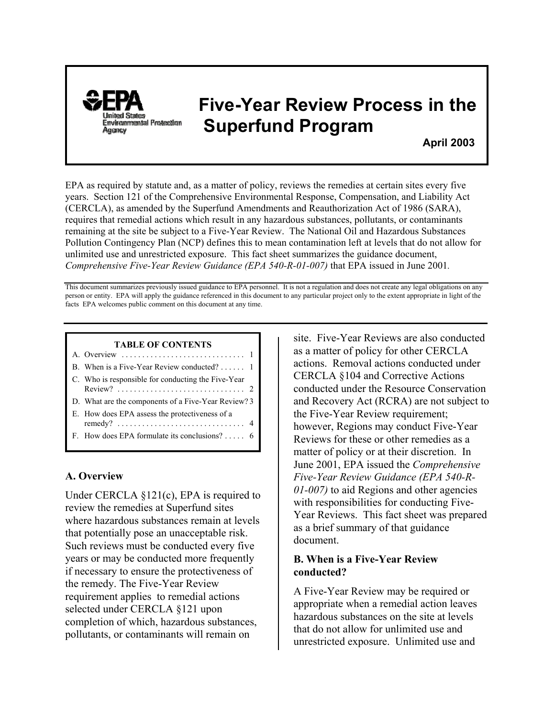

# **Five-Year Review Process in the Environmental Protection** Superfund Program

 **April 2003**

EPA as required by statute and, as a matter of policy, reviews the remedies at certain sites every five years. Section 121 of the Comprehensive Environmental Response, Compensation, and Liability Act (CERCLA), as amended by the Superfund Amendments and Reauthorization Act of 1986 (SARA), requires that remedial actions which result in any hazardous substances, pollutants, or contaminants remaining at the site be subject to a Five-Year Review. The National Oil and Hazardous Substances Pollution Contingency Plan (NCP) defines this to mean contamination left at levels that do not allow for unlimited use and unrestricted exposure. This fact sheet summarizes the guidance document, *Comprehensive Five-Year Review Guidance (EPA 540-R-01-007)* that EPA issued in June 2001*.*

This document summarizes previously issued guidance to EPA personnel. It is not a regulation and does not create any legal obligations on any person or entity. EPA will apply the guidance referenced in this document to any particular project only to the extent appropriate in light of the facts EPA welcomes public comment on this document at any time.

#### **TABLE OF CONTENTS**

| B. When is a Five-Year Review conducted? 1          |
|-----------------------------------------------------|
| C. Who is responsible for conducting the Five-Year  |
| D. What are the components of a Five-Year Review? 3 |
| E. How does EPA assess the protectiveness of a      |
| F. How does EPA formulate its conclusions? $6$      |
|                                                     |

# **A. Overview**

Under CERCLA §121(c), EPA is required to review the remedies at Superfund sites where hazardous substances remain at levels that potentially pose an unacceptable risk. Such reviews must be conducted every five years or may be conducted more frequently if necessary to ensure the protectiveness of the remedy. The Five-Year Review requirement applies to remedial actions selected under CERCLA §121 upon completion of which, hazardous substances, pollutants, or contaminants will remain on

site. Five-Year Reviews are also conducted as a matter of policy for other CERCLA actions. Removal actions conducted under CERCLA §104 and Corrective Actions conducted under the Resource Conservation and Recovery Act (RCRA) are not subject to the Five-Year Review requirement; however, Regions may conduct Five-Year Reviews for these or other remedies as a matter of policy or at their discretion. In June 2001, EPA issued the *Comprehensive Five-Year Review Guidance (EPA 540-R-01-007)* to aid Regions and other agencies with responsibilities for conducting Five-Year Reviews. This fact sheet was prepared as a brief summary of that guidance document.

# **B. When is a Five-Year Review conducted?**

A Five-Year Review may be required or appropriate when a remedial action leaves hazardous substances on the site at levels that do not allow for unlimited use and unrestricted exposure. Unlimited use and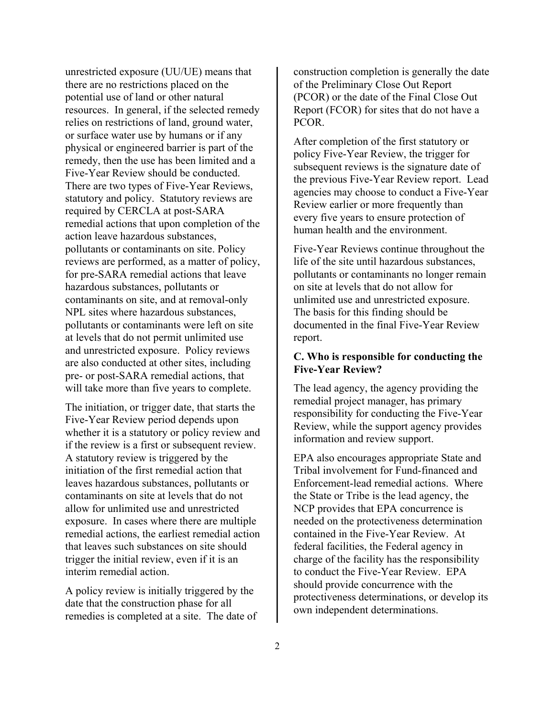unrestricted exposure (UU/UE) means that there are no restrictions placed on the potential use of land or other natural resources. In general, if the selected remedy relies on restrictions of land, ground water, or surface water use by humans or if any physical or engineered barrier is part of the remedy, then the use has been limited and a Five-Year Review should be conducted. There are two types of Five-Year Reviews, statutory and policy. Statutory reviews are required by CERCLA at post-SARA remedial actions that upon completion of the action leave hazardous substances, pollutants or contaminants on site. Policy reviews are performed, as a matter of policy, for pre-SARA remedial actions that leave hazardous substances, pollutants or contaminants on site, and at removal-only NPL sites where hazardous substances, pollutants or contaminants were left on site at levels that do not permit unlimited use and unrestricted exposure. Policy reviews are also conducted at other sites, including pre- or post-SARA remedial actions, that will take more than five years to complete.

The initiation, or trigger date, that starts the Five-Year Review period depends upon whether it is a statutory or policy review and if the review is a first or subsequent review. A statutory review is triggered by the initiation of the first remedial action that leaves hazardous substances, pollutants or contaminants on site at levels that do not allow for unlimited use and unrestricted exposure. In cases where there are multiple remedial actions, the earliest remedial action that leaves such substances on site should trigger the initial review, even if it is an interim remedial action.

A policy review is initially triggered by the date that the construction phase for all remedies is completed at a site. The date of construction completion is generally the date of the Preliminary Close Out Report (PCOR) or the date of the Final Close Out Report (FCOR) for sites that do not have a PCOR.

After completion of the first statutory or policy Five-Year Review, the trigger for subsequent reviews is the signature date of the previous Five-Year Review report. Lead agencies may choose to conduct a Five-Year Review earlier or more frequently than every five years to ensure protection of human health and the environment.

Five-Year Reviews continue throughout the life of the site until hazardous substances, pollutants or contaminants no longer remain on site at levels that do not allow for unlimited use and unrestricted exposure. The basis for this finding should be documented in the final Five-Year Review report.

## **C. Who is responsible for conducting the Five-Year Review?**

The lead agency, the agency providing the remedial project manager, has primary responsibility for conducting the Five-Year Review, while the support agency provides information and review support.

EPA also encourages appropriate State and Tribal involvement for Fund-financed and Enforcement-lead remedial actions. Where the State or Tribe is the lead agency, the NCP provides that EPA concurrence is needed on the protectiveness determination contained in the Five-Year Review. At federal facilities, the Federal agency in charge of the facility has the responsibility to conduct the Five-Year Review. EPA should provide concurrence with the protectiveness determinations, or develop its own independent determinations.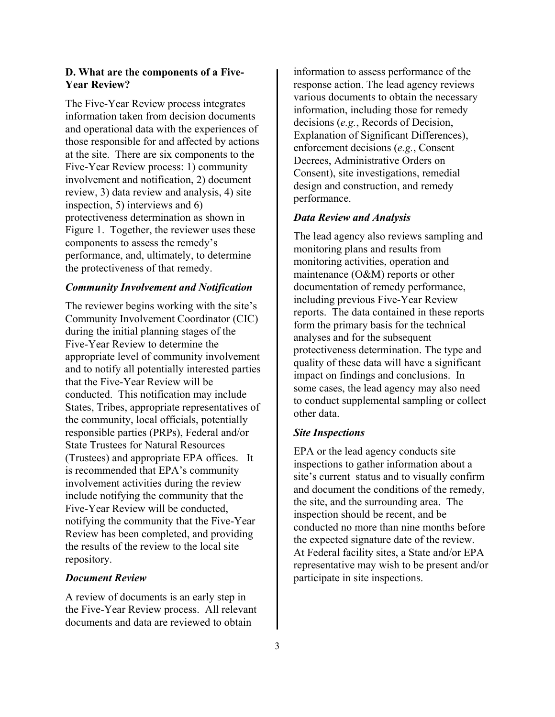## **D. What are the components of a Five-Year Review?**

The Five-Year Review process integrates information taken from decision documents and operational data with the experiences of those responsible for and affected by actions at the site. There are six components to the Five-Year Review process: 1) community involvement and notification, 2) document review, 3) data review and analysis, 4) site inspection, 5) interviews and 6) protectiveness determination as shown in Figure 1. Together, the reviewer uses these components to assess the remedy's performance, and, ultimately, to determine the protectiveness of that remedy.

#### *Community Involvement and Notification*

The reviewer begins working with the site's Community Involvement Coordinator (CIC) during the initial planning stages of the Five-Year Review to determine the appropriate level of community involvement and to notify all potentially interested parties that the Five-Year Review will be conducted. This notification may include States, Tribes, appropriate representatives of the community, local officials, potentially responsible parties (PRPs), Federal and/or State Trustees for Natural Resources (Trustees) and appropriate EPA offices. It is recommended that EPA's community involvement activities during the review include notifying the community that the Five-Year Review will be conducted, notifying the community that the Five-Year Review has been completed, and providing the results of the review to the local site repository.

#### *Document Review*

A review of documents is an early step in the Five-Year Review process. All relevant documents and data are reviewed to obtain

information to assess performance of the response action. The lead agency reviews various documents to obtain the necessary information, including those for remedy decisions (*e.g.*, Records of Decision, Explanation of Significant Differences), enforcement decisions (*e.g.*, Consent Decrees, Administrative Orders on Consent), site investigations, remedial design and construction, and remedy performance.

#### *Data Review and Analysis*

The lead agency also reviews sampling and monitoring plans and results from monitoring activities, operation and maintenance (O&M) reports or other documentation of remedy performance, including previous Five-Year Review reports. The data contained in these reports form the primary basis for the technical analyses and for the subsequent protectiveness determination. The type and quality of these data will have a significant impact on findings and conclusions. In some cases, the lead agency may also need to conduct supplemental sampling or collect other data.

#### *Site Inspections*

EPA or the lead agency conducts site inspections to gather information about a site's current status and to visually confirm and document the conditions of the remedy, the site, and the surrounding area. The inspection should be recent, and be conducted no more than nine months before the expected signature date of the review. At Federal facility sites, a State and/or EPA representative may wish to be present and/or participate in site inspections.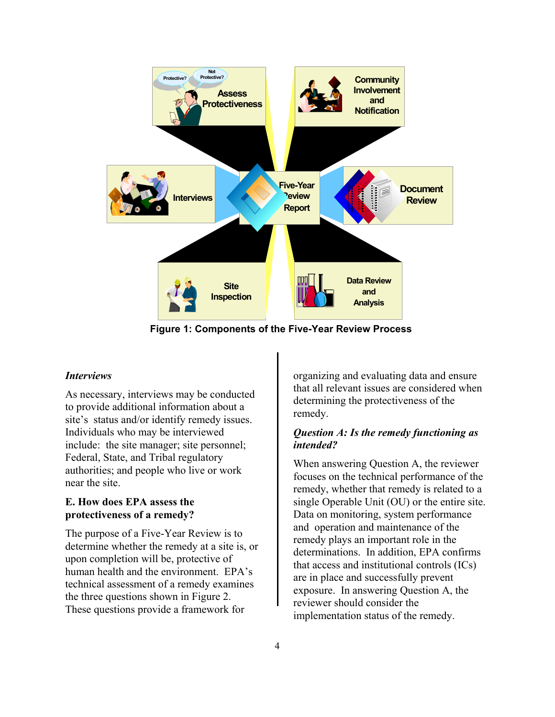

**Figure 1: Components of the Five-Year Review Process**

#### *Interviews*

As necessary, interviews may be conducted to provide additional information about a site's status and/or identify remedy issues. Individuals who may be interviewed include: the site manager; site personnel; Federal, State, and Tribal regulatory authorities; and people who live or work near the site.

## **E. How does EPA assess the protectiveness of a remedy?**

The purpose of a Five-Year Review is to determine whether the remedy at a site is, or upon completion will be, protective of human health and the environment. EPA's technical assessment of a remedy examines the three questions shown in Figure 2. These questions provide a framework for

organizing and evaluating data and ensure that all relevant issues are considered when determining the protectiveness of the remedy.

## *Question A: Is the remedy functioning as intended?*

When answering Question A, the reviewer focuses on the technical performance of the remedy, whether that remedy is related to a single Operable Unit (OU) or the entire site. Data on monitoring, system performance and operation and maintenance of the remedy plays an important role in the determinations. In addition, EPA confirms that access and institutional controls (ICs) are in place and successfully prevent exposure. In answering Question A, thereviewer should consider the implementation status of the remedy.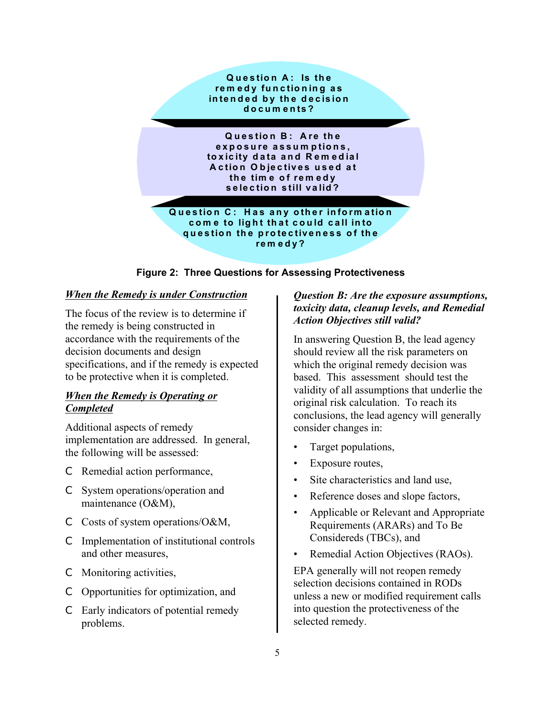

# **Figure 2: Three Questions for Assessing Protectiveness**

#### *When the Remedy is under Construction*

The focus of the review is to determine if the remedy is being constructed in accordance with the requirements of the decision documents and design specifications, and if the remedy is expected to be protective when it is completed.

# *When the Remedy is Operating or Completed*

Additional aspects of remedy implementation are addressed. In general, the following will be assessed:

- C Remedial action performance,
- C System operations/operation and maintenance (O&M),
- C Costs of system operations/O&M,
- C Implementation of institutional controls and other measures,
- C Monitoring activities,
- C Opportunities for optimization, and
- C Early indicators of potential remedy problems.

# *Question B: Are the exposure assumptions, toxicity data, cleanup levels, and Remedial Action Objectives still valid?*

In answering Question B, the lead agency should review all the risk parameters on which the original remedy decision was based. This assessment should test the validity of all assumptions that underlie the original risk calculation. To reach its conclusions, the lead agency will generally consider changes in:

- Target populations,
- Exposure routes,
- Site characteristics and land use,
- Reference doses and slope factors,
- Applicable or Relevant and Appropriate Requirements (ARARs) and To Be Considereds (TBCs), and
- Remedial Action Objectives (RAOs).

EPA generally will not reopen remedy selection decisions contained in RODs unless a new or modified requirement calls into question the protectiveness of the selected remedy.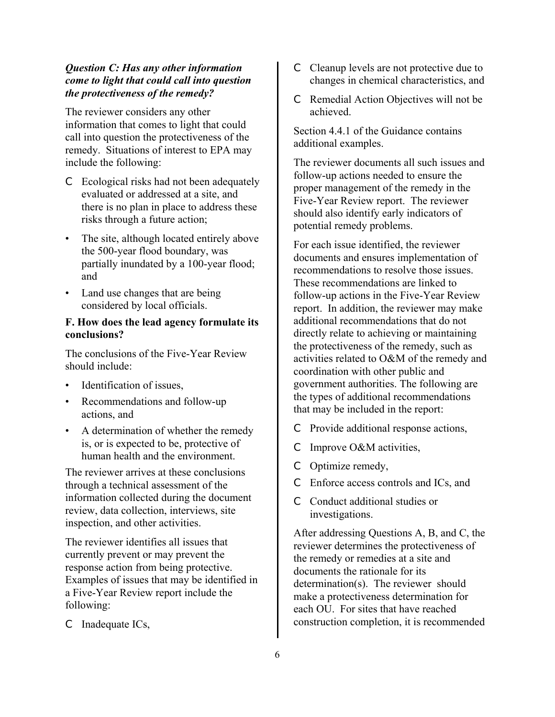# *Question C: Has any other information come to light that could call into question the protectiveness of the remedy?*

The reviewer considers any other information that comes to light that could call into question the protectiveness of the remedy. Situations of interest to EPA may include the following:

- C Ecological risks had not been adequately evaluated or addressed at a site, and there is no plan in place to address these risks through a future action;
- The site, although located entirely above the 500-year flood boundary, was partially inundated by a 100-year flood; and
- Land use changes that are being considered by local officials.

### **F. How does the lead agency formulate its conclusions?**

The conclusions of the Five-Year Review should include:

- Identification of issues,
- Recommendations and follow-up actions, and
- A determination of whether the remedy is, or is expected to be, protective of human health and the environment.

The reviewer arrives at these conclusions through a technical assessment of the information collected during the document review, data collection, interviews, site inspection, and other activities.

The reviewer identifies all issues that currently prevent or may prevent the response action from being protective. Examples of issues that may be identified in a Five-Year Review report include the following:

C Inadequate ICs,

- C Cleanup levels are not protective due to changes in chemical characteristics, and
- C Remedial Action Objectives will not be achieved.

Section 4.4.1 of the Guidance contains additional examples.

The reviewer documents all such issues and follow-up actions needed to ensure the proper management of the remedy in the Five-Year Review report. The reviewer should also identify early indicators of potential remedy problems.

For each issue identified, the reviewer documents and ensures implementation of recommendations to resolve those issues. These recommendations are linked to follow-up actions in the Five-Year Review report. In addition, the reviewer may make additional recommendations that do not directly relate to achieving or maintaining the protectiveness of the remedy, such as activities related to O&M of the remedy and coordination with other public and government authorities. The following are the types of additional recommendations that may be included in the report:

- C Provide additional response actions,
- C Improve O&M activities,
- C Optimize remedy,
- C Enforce access controls and ICs, and
- C Conduct additional studies or investigations.

After addressing Questions A, B, and C, the reviewer determines the protectiveness of the remedy or remedies at a site and documents the rationale for its determination(s). The reviewer should make a protectiveness determination for each OU. For sites that have reached construction completion, it is recommended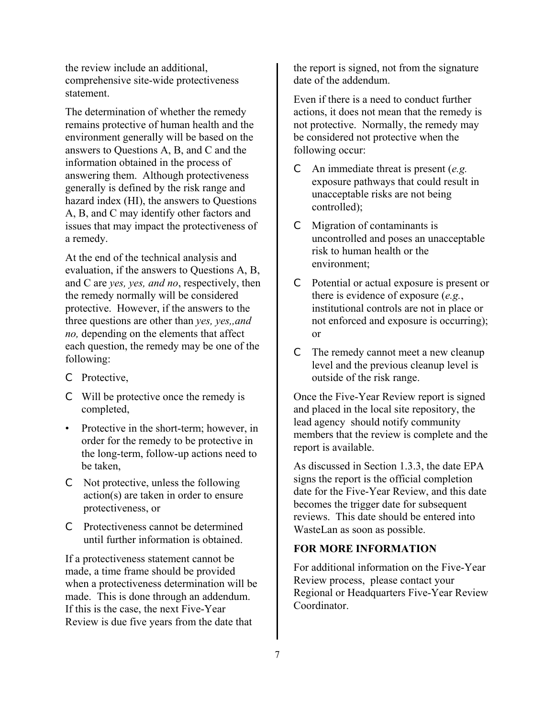the review include an additional, comprehensive site-wide protectiveness statement.

The determination of whether the remedy remains protective of human health and the environment generally will be based on the answers to Questions A, B, and C and the information obtained in the process of answering them. Although protectiveness generally is defined by the risk range and hazard index (HI), the answers to Questions A, B, and C may identify other factors and issues that may impact the protectiveness of a remedy.

At the end of the technical analysis and evaluation, if the answers to Questions A, B, and C are *yes, yes, and no*, respectively, then the remedy normally will be considered protective. However, if the answers to the three questions are other than *yes, yes,,and no,* depending on the elements that affect each question, the remedy may be one of the following:

- C Protective,
- C Will be protective once the remedy is completed,
- Protective in the short-term; however, in order for the remedy to be protective in the long-term, follow-up actions need to be taken,
- C Not protective, unless the following action(s) are taken in order to ensure protectiveness, or
- C Protectiveness cannot be determined until further information is obtained.

If a protectiveness statement cannot be made, a time frame should be provided when a protectiveness determination will be made. This is done through an addendum. If this is the case, the next Five-Year Review is due five years from the date that

the report is signed, not from the signature date of the addendum.

Even if there is a need to conduct further actions, it does not mean that the remedy is not protective. Normally, the remedy may be considered not protective when the following occur:

- C An immediate threat is present (*e.g.*  exposure pathways that could result in unacceptable risks are not being controlled);
- C Migration of contaminants is uncontrolled and poses an unacceptable risk to human health or the environment;
- C Potential or actual exposure is present or there is evidence of exposure (*e.g.*, institutional controls are not in place or not enforced and exposure is occurring); or
- C The remedy cannot meet a new cleanup level and the previous cleanup level is outside of the risk range.

Once the Five-Year Review report is signed and placed in the local site repository, the lead agency should notify community members that the review is complete and the report is available.

As discussed in Section 1.3.3, the date EPA signs the report is the official completion date for the Five-Year Review, and this date becomes the trigger date for subsequent reviews. This date should be entered into WasteLan as soon as possible.

## **FOR MORE INFORMATION**

For additional information on the Five-Year Review process, please contact your Regional or Headquarters Five-Year Review **Coordinator**